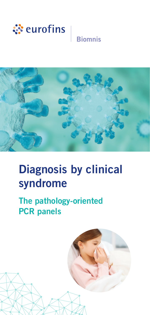

# **Biomnis**



# Diagnosis by clinical syndrome

# The pathology-oriented PCR panels

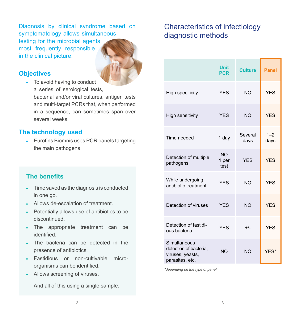Diagnosis by clinical syndrome based on symptomatology allows simultaneous testing for the microbial agents most frequently responsible in the clinical picture.

#### **Objectives**

• To avoid having to conduct a series of serological tests, bacterial and/or viral cultures, antigen tests and multi-target PCRs that, when performed in a sequence, can sometimes span over several weeks.

#### **The technology used**

 Eurofins Biomnis uses PCR panels targeting the main pathogens.

## **The benefits**

- Time saved as the diagnosis is conducted  $\bullet$ in one go.
- Allows de-escalation of treatment.
- Potentially allows use of antibiotics to be  $\bullet$ discontinued.
- The appropriate treatment can be identified.
- The bacteria can be detected in the presence of antibiotics.
- Fastidious or non-cultivable micro- $\bullet$ organisms can be identified.
- Allows screening of viruses.  $\bullet$

And all of this using a single sample.

# Characteristics of infectiology diagnostic methods

|                                                                               | <b>Unit</b><br><b>PCR</b>  | <b>Culture</b>  | <b>Panel</b>    |
|-------------------------------------------------------------------------------|----------------------------|-----------------|-----------------|
| High specificity                                                              | <b>YFS</b>                 | <b>NO</b>       | <b>YES</b>      |
| <b>High sensitivity</b>                                                       | <b>YES</b>                 | <b>NO</b>       | <b>YES</b>      |
| Time needed                                                                   | 1 day                      | Several<br>days | $1 - 2$<br>days |
| Detection of multiple<br>pathogens                                            | <b>NO</b><br>1 per<br>test | <b>YFS</b>      | <b>YES</b>      |
| While undergoing<br>antibiotic treatment                                      | <b>YES</b>                 | <b>NO</b>       | <b>YES</b>      |
| Detection of viruses                                                          | <b>YFS</b>                 | <b>NO</b>       | <b>YFS</b>      |
| Detection of fastidi-<br>ous bacteria                                         | <b>YES</b>                 | $+/-$           | <b>YES</b>      |
| Simultaneous<br>detection of bacteria,<br>viruses, yeasts,<br>parasites, etc. | <b>NO</b>                  | <b>NO</b>       | YES*            |

*\*depending on the type of panel*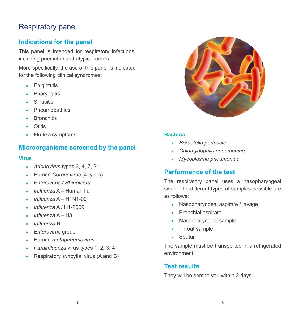# Respiratory panel

## **Indications for the panel**

This panel is intended for respiratory infections, including paediatric and atypical cases.

More specifically, the use of this panel is indicated for the following clinical syndromes:

- Epiglottitis  $\bullet$
- **Pharyngitis**  $\bullet$
- Sinusitis
- Pneumopathies  $\bullet$
- **Bronchitis**
- **Otitis**
- Flu-like symptoms  $\bullet$

## **Microorganisms screened by the panel**

#### **Virus**

- *Adenovirus* types 3, 4, 7, 21
- Human *Coronavirus* (4 types)  $\ddot{\phantom{a}}$
- *Enterovirus / Rhinovirus*  $\bullet$
- *Influenza* A Human flu  $\ddot{\phantom{a}}$
- *Influenza* A H1N1-09  $\bullet$
- *Influenza* A / H1-2009  $\bullet$
- *Influenza* A H3  $\bullet$
- *Influenza* B ×
- *Enterovirus* group
- Human *metapneumovirus*
- *Parainfluenza* virus types 1, 2, 3, 4
- Respiratory syncytial virus (A and B)



#### **Bacteria**

- *Bordetella pertussis*
- *Chlamydophila pneumoniae*  $\bullet$
- *Mycoplasma pneumoniae*

## **Performance of the test**

The respiratory panel uses a nasopharyngeal swab. The different types of samples possible are as follows:

- Nasopharyngeal aspirate / lavage
- Bronchial aspirate
- Nasopharyngeal sample
- Throat sample  $\bullet$
- Sputum  $\bullet$

The sample must be transported in a refrigerated environment.

## **Test results**

They will be sent to you within 2 days.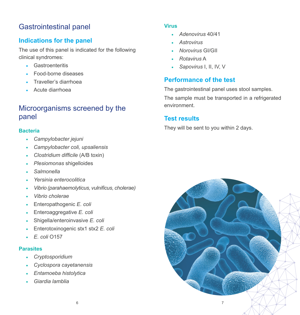# Gastrointestinal panel

## **Indications for the panel**

The use of this panel is indicated for the following clinical syndromes:

- Gastroenteritis
- Food-borne diseases
- Traveller's diarrhoea  $\bullet$
- Acute diarrhoea  $\bullet$

# Microorganisms screened by the panel

#### **Bacteria**

- *Campylobacter jejuni*
- *Campylobacter coli, upsaliensis*
- *Clostridium difficile* (A/B toxin)
- *Plesiomonas* shigelloides
- *Salmonella*
- *Yersinia enterocolitica*
- *Vibrio (parahaemolyticus, vulnificus, cholerae)*
- *Vibrio cholerae*
- Enteropathogenic *E. coli*
- Enteroaggregative *E. coli*  $\bullet$
- Shigella/enteroinvasive *E. coli*  $\ddot{\phantom{a}}$
- Enterotoxinogenic stx1 stx2 *E. coli* ż
- *E. coli* O157

#### **Parasites**

- *Cryptosporidium*
- *Cyclospora cayetanensis*
- *Entamoeba histolytica*
- *Giardia lamblia*

#### **Virus**

- *Adenovirus* 40/41 a.
- *Astrovirus*
- *Norovirus* GI/GII
- *Rotavirus* A
- *Sapovirus* I, II, IV, V å.

# **Performance of the test**

The gastrointestinal panel uses stool samples.

The sample must be transported in a refrigerated environment.

# **Test results**

They will be sent to you within 2 days.

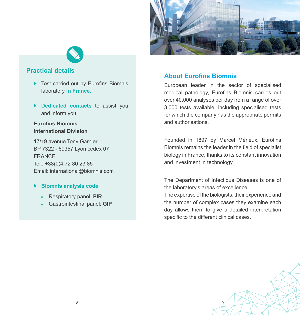



#### **Practical details**

- ▶ Test carried out by Eurofins Biomnis laboratory **in France.**
- **Dedicated contacts** to assist you and inform you:

#### **Eurofins Biomnis International Division**

17/19 avenue Tony Garnier BP 7322 - 69357 Lyon cedex 07 FRANCE Tel.: +33(0)4 72 80 23 85 Email: international@biomnis.com

#### **Biomnis analysis code**

- Respiratory panel: **PIR**
- Gastrointestinal panel: **GIP**

## **About Eurofins Biomnis**

European leader in the sector of specialised medical pathology, Eurofins Biomnis carries out over 40,000 analyses per day from a range of over 3,000 tests available, including specialised tests for which the company has the appropriate permits and authorisations.

Founded in 1897 by Marcel Mérieux, Eurofins Biomnis remains the leader in the field of specialist biology in France, thanks to its constant innovation and investment in technology.

The Department of Infectious Diseases is one of the laboratory's areas of excellence.

The expertise of the biologists, their experience and the number of complex cases they examine each day allows them to give a detailed interpretation specific to the different clinical cases.

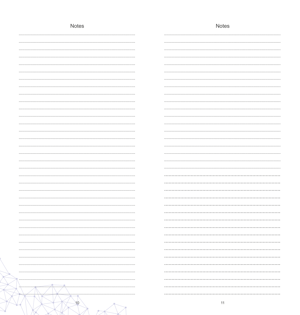| <b>Notes</b> | <b>Notes</b> |
|--------------|--------------|
|              |              |
|              |              |
|              |              |
|              |              |
|              |              |
|              |              |
|              |              |
|              |              |
|              |              |
|              |              |
|              |              |
|              |              |
|              |              |
|              |              |
|              |              |
|              |              |
|              |              |
|              |              |
|              |              |
|              |              |
|              |              |
|              |              |
|              |              |
|              |              |
|              |              |
|              |              |
|              |              |
|              |              |
|              |              |
|              |              |
|              |              |
|              |              |
|              |              |
|              |              |
|              |              |
|              |              |
| سيستمرس      |              |
| 10           | 11           |